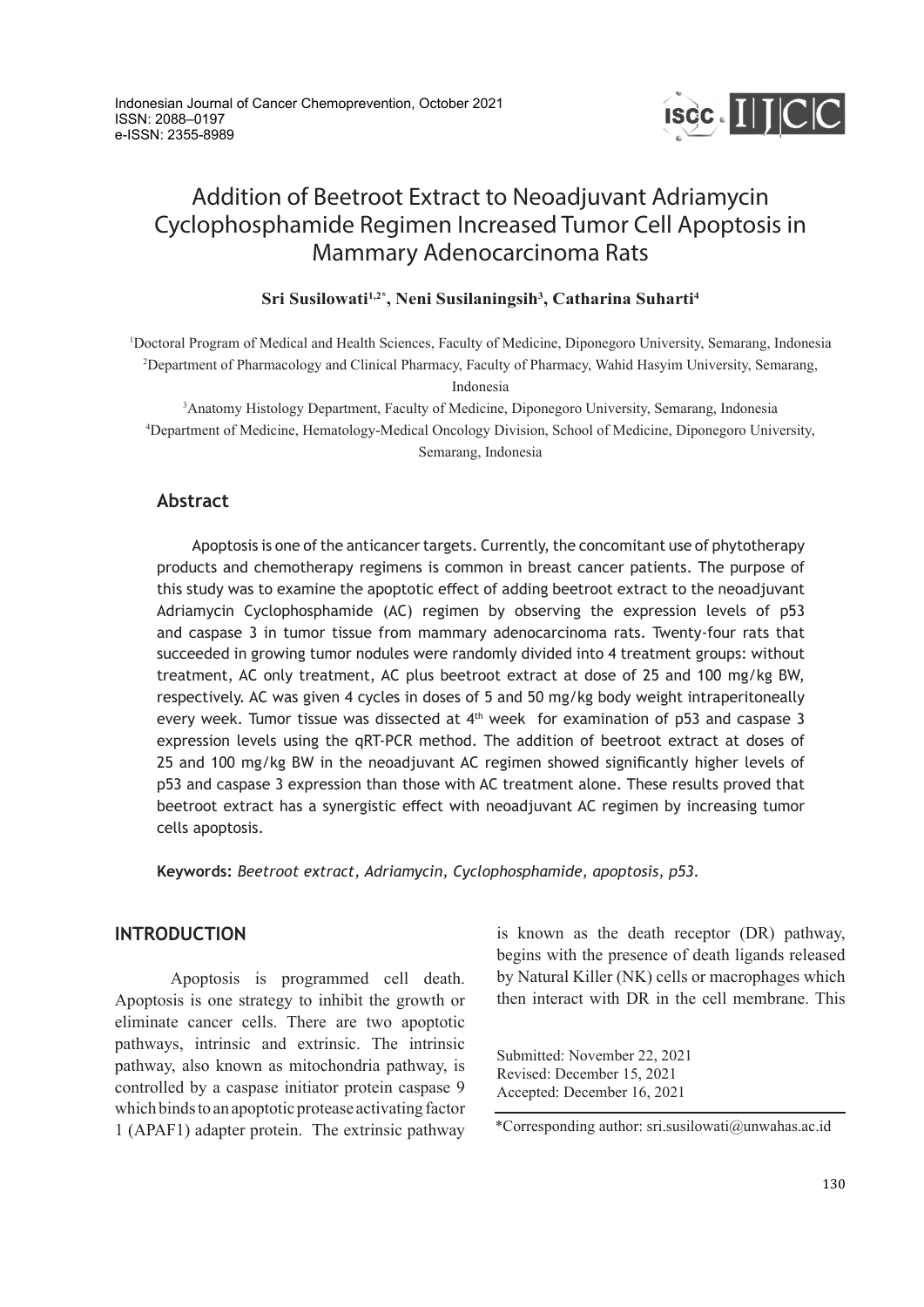

# Addition of Beetroot Extract to Neoadjuvant Adriamycin Cyclophosphamide Regimen Increased Tumor Cell Apoptosis in Mammary Adenocarcinoma Rats

# **Sri Susilowati1,2\*, Neni Susilaningsih3 , Catharina Suharti4**

1 Doctoral Program of Medical and Health Sciences, Faculty of Medicine, Diponegoro University, Semarang, Indonesia 2 Department of Pharmacology and Clinical Pharmacy, Faculty of Pharmacy, Wahid Hasyim University, Semarang, Indonesia

3 Anatomy Histology Department, Faculty of Medicine, Diponegoro University, Semarang, Indonesia 4 Department of Medicine, Hematology-Medical Oncology Division, School of Medicine, Diponegoro University, Semarang, Indonesia

# **Abstract**

Apoptosis is one of the anticancer targets. Currently, the concomitant use of phytotherapy products and chemotherapy regimens is common in breast cancer patients. The purpose of this study was to examine the apoptotic effect of adding beetroot extract to the neoadjuvant Adriamycin Cyclophosphamide (AC) regimen by observing the expression levels of p53 and caspase 3 in tumor tissue from mammary adenocarcinoma rats. Twenty-four rats that succeeded in growing tumor nodules were randomly divided into 4 treatment groups: without treatment, AC only treatment, AC plus beetroot extract at dose of 25 and 100 mg/kg BW, respectively. AC was given 4 cycles in doses of 5 and 50 mg/kg body weight intraperitoneally every week. Tumor tissue was dissected at 4<sup>th</sup> week for examination of p53 and caspase 3 expression levels using the qRT-PCR method. The addition of beetroot extract at doses of 25 and 100 mg/kg BW in the neoadjuvant AC regimen showed significantly higher levels of p53 and caspase 3 expression than those with AC treatment alone. These results proved that beetroot extract has a synergistic effect with neoadjuvant AC regimen by increasing tumor cells apoptosis.

**Keywords:** *Beetroot extract, Adriamycin, Cyclophosphamide, apoptosis, p53.*

# **INTRODUCTION**

Apoptosis is programmed cell death. Apoptosis is one strategy to inhibit the growth or eliminate cancer cells. There are two apoptotic pathways, intrinsic and extrinsic. The intrinsic pathway, also known as mitochondria pathway, is controlled by a caspase initiator protein caspase 9 which binds to an apoptotic protease activating factor 1 (APAF1) adapter protein. The extrinsic pathway is known as the death receptor (DR) pathway, begins with the presence of death ligands released by Natural Killer (NK) cells or macrophages which then interact with DR in the cell membrane. This

Submitted: November 22, 2021 Revised: December 15, 2021 Accepted: December 16, 2021

<sup>\*</sup>Corresponding author: sri.susilowati@unwahas.ac.id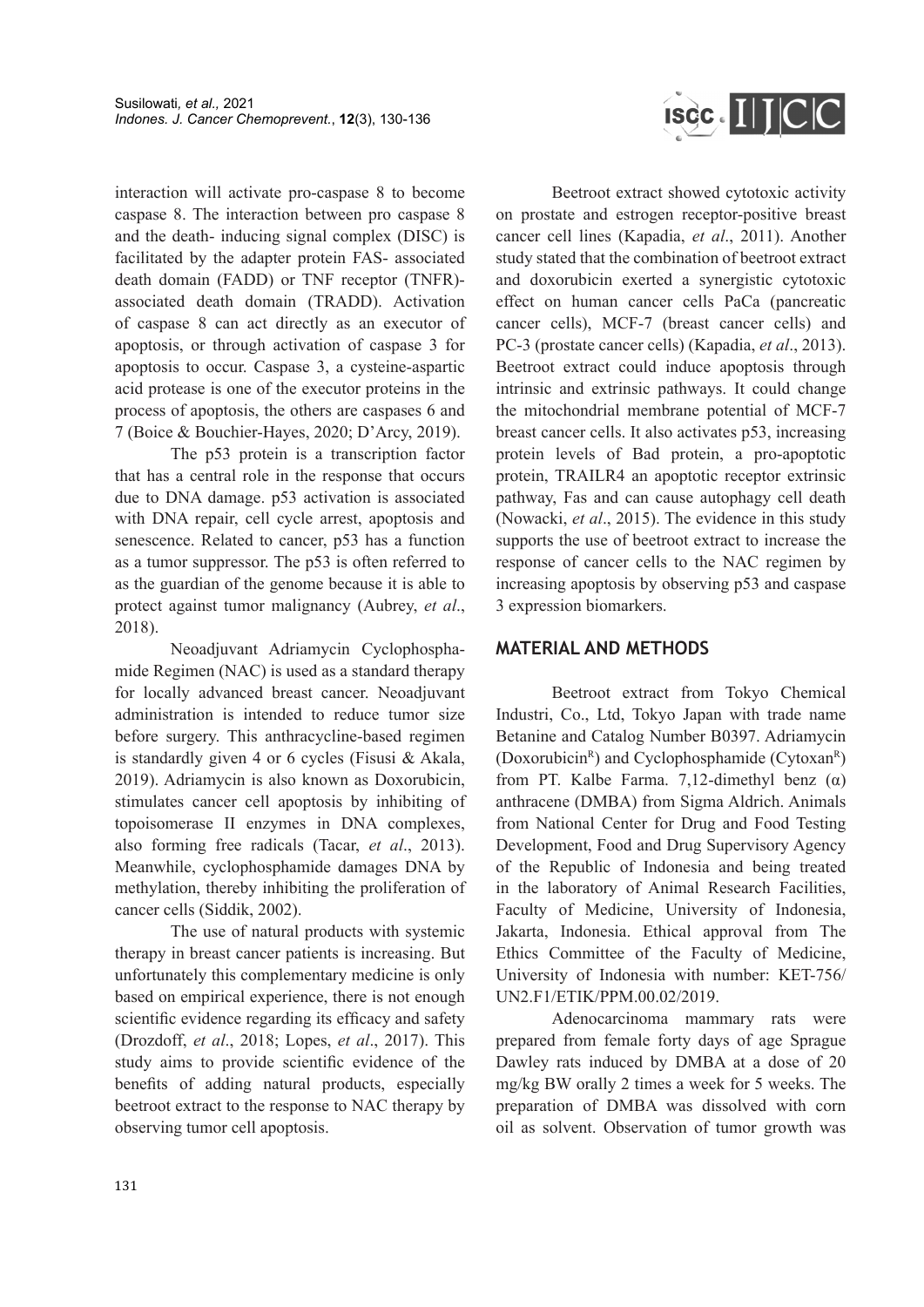ISCC. IIJCC

interaction will activate pro-caspase 8 to become caspase 8. The interaction between pro caspase 8 and the death- inducing signal complex (DISC) is facilitated by the adapter protein FAS- associated death domain (FADD) or TNF receptor (TNFR) associated death domain (TRADD). Activation of caspase 8 can act directly as an executor of apoptosis, or through activation of caspase 3 for apoptosis to occur. Caspase 3, a cysteine-aspartic acid protease is one of the executor proteins in the process of apoptosis, the others are caspases 6 and 7 (Boice & Bouchier-Hayes, 2020; D'Arcy, 2019).

The p53 protein is a transcription factor that has a central role in the response that occurs due to DNA damage. p53 activation is associated with DNA repair, cell cycle arrest, apoptosis and senescence. Related to cancer, p53 has a function as a tumor suppressor. The p53 is often referred to as the guardian of the genome because it is able to protect against tumor malignancy (Aubrey, *et al*., 2018).

Neoadjuvant Adriamycin Cyclophosphamide Regimen (NAC) is used as a standard therapy for locally advanced breast cancer. Neoadjuvant administration is intended to reduce tumor size before surgery. This anthracycline-based regimen is standardly given 4 or 6 cycles (Fisusi & Akala, 2019). Adriamycin is also known as Doxorubicin, stimulates cancer cell apoptosis by inhibiting of topoisomerase II enzymes in DNA complexes, also forming free radicals (Tacar, *et al*., 2013). Meanwhile, cyclophosphamide damages DNA by methylation, thereby inhibiting the proliferation of cancer cells (Siddik, 2002).

The use of natural products with systemic therapy in breast cancer patients is increasing. But unfortunately this complementary medicine is only based on empirical experience, there is not enough scientific evidence regarding its efficacy and safety (Drozdoff, *et al*., 2018; Lopes, *et al*., 2017). This study aims to provide scientific evidence of the benefits of adding natural products, especially beetroot extract to the response to NAC therapy by observing tumor cell apoptosis.

Beetroot extract showed cytotoxic activity on prostate and estrogen receptor-positive breast cancer cell lines (Kapadia, *et al*., 2011). Another study stated that the combination of beetroot extract and doxorubicin exerted a synergistic cytotoxic effect on human cancer cells PaCa (pancreatic cancer cells), MCF-7 (breast cancer cells) and PC-3 (prostate cancer cells) (Kapadia, *et al*., 2013). Beetroot extract could induce apoptosis through intrinsic and extrinsic pathways. It could change the mitochondrial membrane potential of MCF-7 breast cancer cells. It also activates p53, increasing protein levels of Bad protein, a pro-apoptotic protein, TRAILR4 an apoptotic receptor extrinsic pathway, Fas and can cause autophagy cell death (Nowacki, *et al*., 2015). The evidence in this study supports the use of beetroot extract to increase the response of cancer cells to the NAC regimen by increasing apoptosis by observing p53 and caspase 3 expression biomarkers.

# **MATERIAL AND METHODS**

Beetroot extract from Tokyo Chemical Industri, Co., Ltd, Tokyo Japan with trade name Betanine and Catalog Number B0397. Adriamycin (Doxorubicin<sup>R</sup>) and Cyclophosphamide (Cytoxan<sup>R</sup>) from PT. Kalbe Farma. 7,12-dimethyl benz  $(\alpha)$ anthracene (DMBA) from Sigma Aldrich. Animals from National Center for Drug and Food Testing Development, Food and Drug Supervisory Agency of the Republic of Indonesia and being treated in the laboratory of Animal Research Facilities, Faculty of Medicine, University of Indonesia, Jakarta, Indonesia. Ethical approval from The Ethics Committee of the Faculty of Medicine, University of Indonesia with number: KET-756/ UN2.F1/ETIK/PPM.00.02/2019.

Adenocarcinoma mammary rats were prepared from female forty days of age Sprague Dawley rats induced by DMBA at a dose of 20 mg/kg BW orally 2 times a week for 5 weeks. The preparation of DMBA was dissolved with corn oil as solvent. Observation of tumor growth was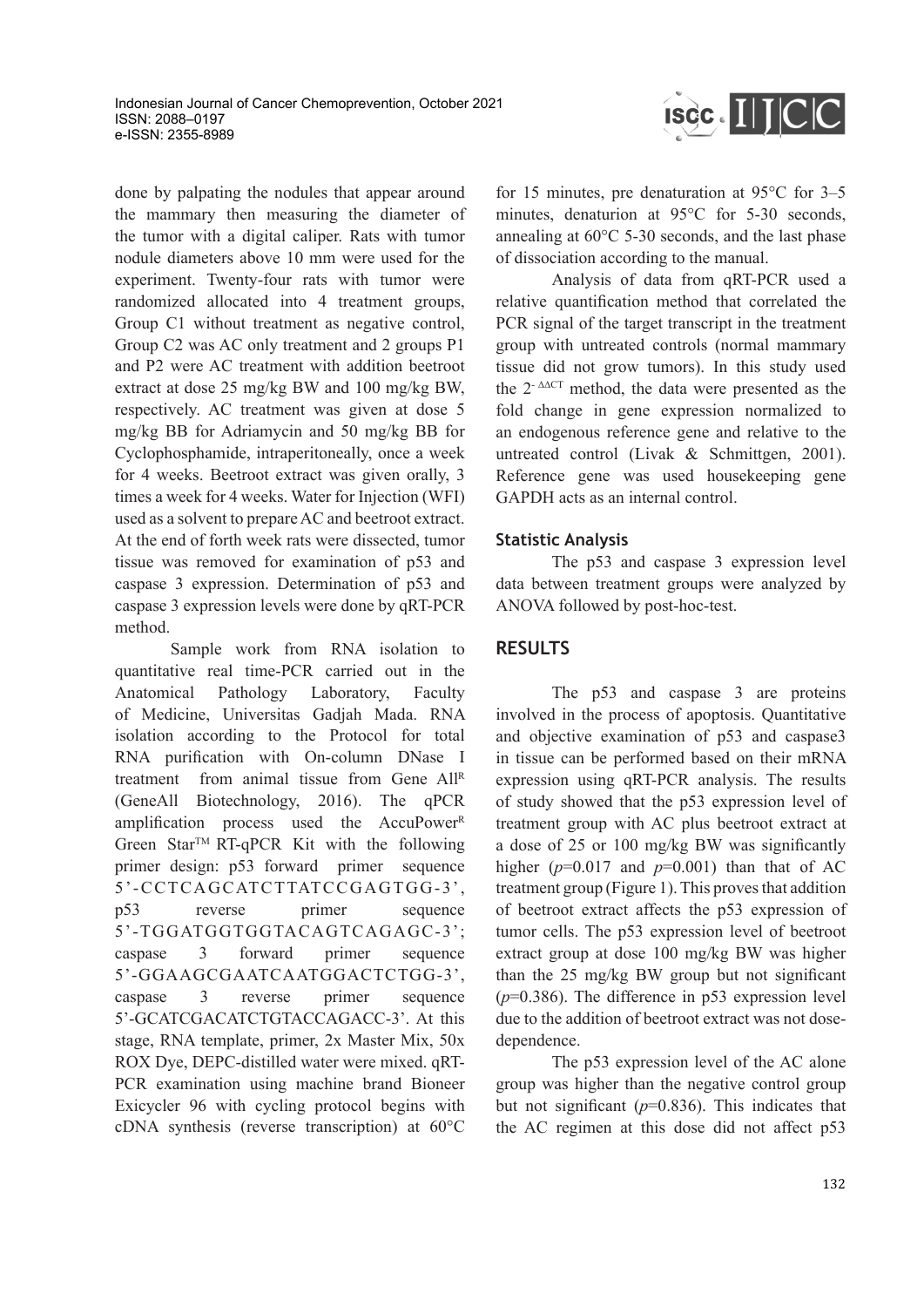

done by palpating the nodules that appear around the mammary then measuring the diameter of the tumor with a digital caliper. Rats with tumor nodule diameters above 10 mm were used for the experiment. Twenty-four rats with tumor were randomized allocated into 4 treatment groups, Group C1 without treatment as negative control, Group C2 was AC only treatment and 2 groups P1 and P2 were AC treatment with addition beetroot extract at dose 25 mg/kg BW and 100 mg/kg BW, respectively. AC treatment was given at dose 5 mg/kg BB for Adriamycin and 50 mg/kg BB for Cyclophosphamide, intraperitoneally, once a week for 4 weeks. Beetroot extract was given orally, 3 times a week for 4 weeks. Water for Injection (WFI) used as a solvent to prepare AC and beetroot extract. At the end of forth week rats were dissected, tumor tissue was removed for examination of p53 and caspase 3 expression. Determination of p53 and caspase 3 expression levels were done by qRT-PCR method.

Sample work from RNA isolation to quantitative real time-PCR carried out in the Anatomical Pathology Laboratory, Faculty of Medicine, Universitas Gadjah Mada. RNA isolation according to the Protocol for total RNA purification with On-column DNase I treatment from animal tissue from Gene All<sup>R</sup> (GeneAll Biotechnology, 2016). The qPCR amplification process used the  $AccuPower<sup>R</sup>$ Green Star<sup>TM</sup> RT-qPCR Kit with the following primer design: p53 forward primer sequence 5'-CCTCAGCATCTTATCCGAGTGG-3', p53 reverse primer sequence 5'-TGGATGGTGGTACAGTCAGAGC-3'; caspase 3 forward primer sequence 5'-GGAAGCGAATCAATGGACTCTGG-3', caspase 3 reverse primer sequence 5'-GCATCGACATCTGTACCAGACC-3'. At this stage, RNA template, primer, 2x Master Mix, 50x ROX Dye, DEPC-distilled water were mixed. qRT-PCR examination using machine brand Bioneer Exicycler 96 with cycling protocol begins with cDNA synthesis (reverse transcription) at 60°C for 15 minutes, pre denaturation at 95°C for 3–5 minutes, denaturion at 95°C for 5-30 seconds, annealing at 60°C 5-30 seconds, and the last phase of dissociation according to the manual.

Analysis of data from qRT-PCR used a relative quantification method that correlated the PCR signal of the target transcript in the treatment group with untreated controls (normal mammary tissue did not grow tumors). In this study used the  $2^{-\Delta\Delta CT}$  method, the data were presented as the fold change in gene expression normalized to an endogenous reference gene and relative to the untreated control (Livak & Schmittgen, 2001). Reference gene was used housekeeping gene GAPDH acts as an internal control.

# **Statistic Analysis**

The p53 and caspase 3 expression level data between treatment groups were analyzed by ANOVA followed by post-hoc-test.

### **RESULTS**

The p53 and caspase 3 are proteins involved in the process of apoptosis. Quantitative and objective examination of p53 and caspase3 in tissue can be performed based on their mRNA expression using qRT-PCR analysis. The results of study showed that the p53 expression level of treatment group with AC plus beetroot extract at a dose of 25 or 100 mg/kg BW was significantly higher  $(p=0.017$  and  $p=0.001$ ) than that of AC treatment group (Figure 1). This proves that addition of beetroot extract affects the p53 expression of tumor cells. The p53 expression level of beetroot extract group at dose 100 mg/kg BW was higher than the 25 mg/kg BW group but not significant  $(p=0.386)$ . The difference in p53 expression level due to the addition of beetroot extract was not dosedependence.

The p53 expression level of the AC alone group was higher than the negative control group but not significant  $(p=0.836)$ . This indicates that the AC regimen at this dose did not affect p53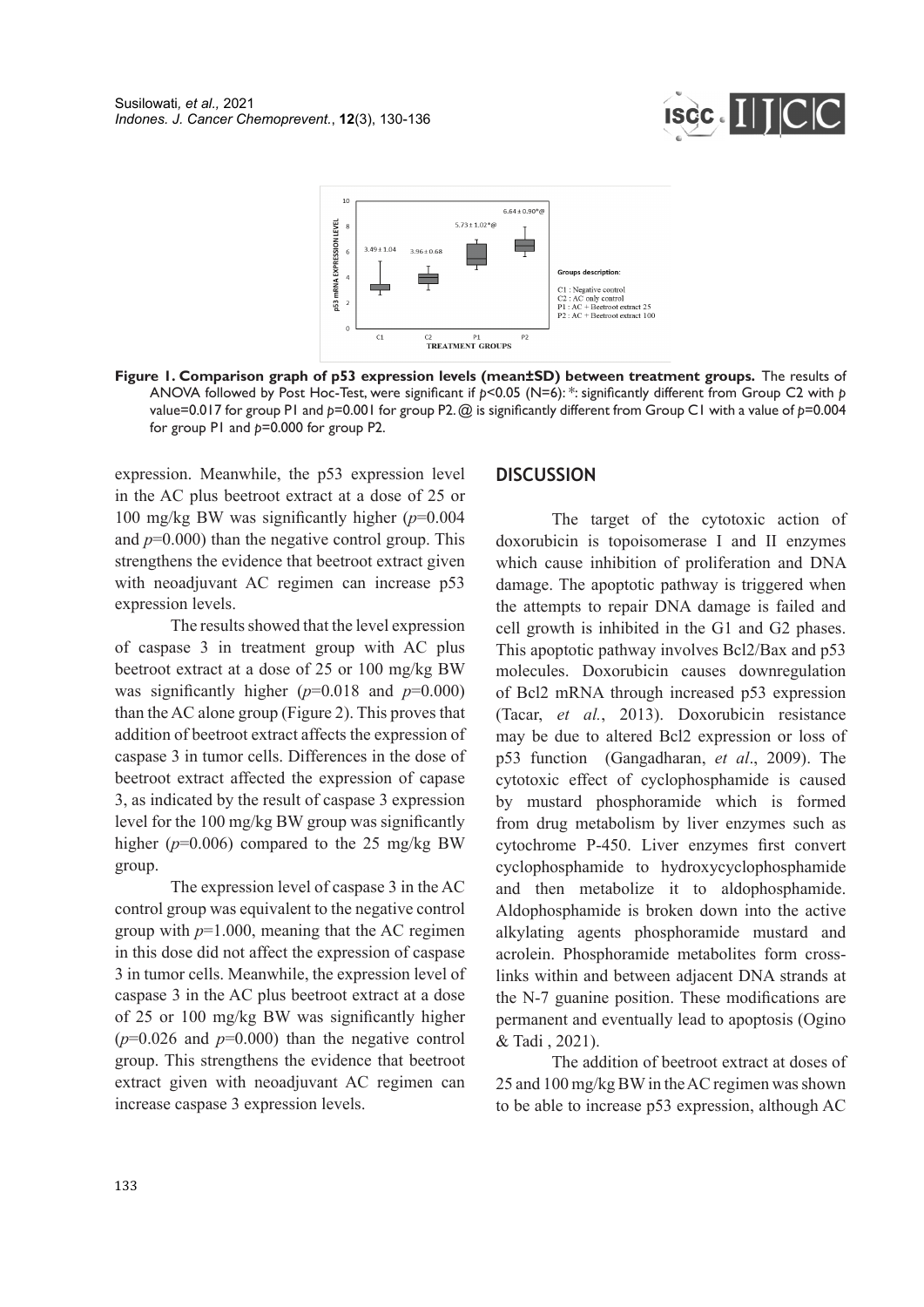



**Figure 1. Comparison graph of p53 expression levels (mean±SD) between treatment groups.** The results of ANOVA followed by Post Hoc-Test, were significant if *p*<0.05 (N=6): \*: significantly different from Group C2 with *p* value=0.017 for group P1 and *p*=0.001 for group P2. @ is significantly different from Group C1 with a value of *p*=0.004 for group P1 and *p*=0.000 for group P2.

expression. Meanwhile, the p53 expression level in the AC plus beetroot extract at a dose of 25 or 100 mg/kg BW was significantly higher (*p*=0.004 and  $p=0.000$ ) than the negative control group. This strengthens the evidence that beetroot extract given with neoadjuvant AC regimen can increase p53 expression levels.

The results showed that the level expression of caspase 3 in treatment group with AC plus beetroot extract at a dose of 25 or 100 mg/kg BW was significantly higher  $(p=0.018$  and  $p=0.000$ ) than the AC alone group (Figure 2). This proves that addition of beetroot extract affects the expression of caspase 3 in tumor cells. Differences in the dose of beetroot extract affected the expression of capase 3, as indicated by the result of caspase 3 expression level for the 100 mg/kg BW group was significantly higher  $(p=0.006)$  compared to the 25 mg/kg BW group.

The expression level of caspase 3 in the AC control group was equivalent to the negative control group with *p*=1.000, meaning that the AC regimen in this dose did not affect the expression of caspase 3 in tumor cells. Meanwhile, the expression level of caspase 3 in the AC plus beetroot extract at a dose of 25 or 100 mg/kg BW was significantly higher  $(p=0.026$  and  $p=0.000)$  than the negative control group. This strengthens the evidence that beetroot extract given with neoadjuvant AC regimen can increase caspase 3 expression levels.

#### **DISCUSSION**

The target of the cytotoxic action of doxorubicin is topoisomerase I and II enzymes which cause inhibition of proliferation and DNA damage. The apoptotic pathway is triggered when the attempts to repair DNA damage is failed and cell growth is inhibited in the G1 and G2 phases. This apoptotic pathway involves Bcl2/Bax and p53 molecules. Doxorubicin causes downregulation of Bcl2 mRNA through increased p53 expression (Tacar, *et al.*, 2013). Doxorubicin resistance may be due to altered Bcl2 expression or loss of p53 function (Gangadharan, *et al*., 2009). The cytotoxic effect of cyclophosphamide is caused by mustard phosphoramide which is formed from drug metabolism by liver enzymes such as cytochrome P-450. Liver enzymes first convert cyclophosphamide to hydroxycyclophosphamide and then metabolize it to aldophosphamide. Aldophosphamide is broken down into the active alkylating agents phosphoramide mustard and acrolein. Phosphoramide metabolites form crosslinks within and between adjacent DNA strands at the N-7 guanine position. These modifications are permanent and eventually lead to apoptosis (Ogino & Tadi , 2021).

The addition of beetroot extract at doses of 25 and 100 mg/kg BW in the AC regimen was shown to be able to increase p53 expression, although AC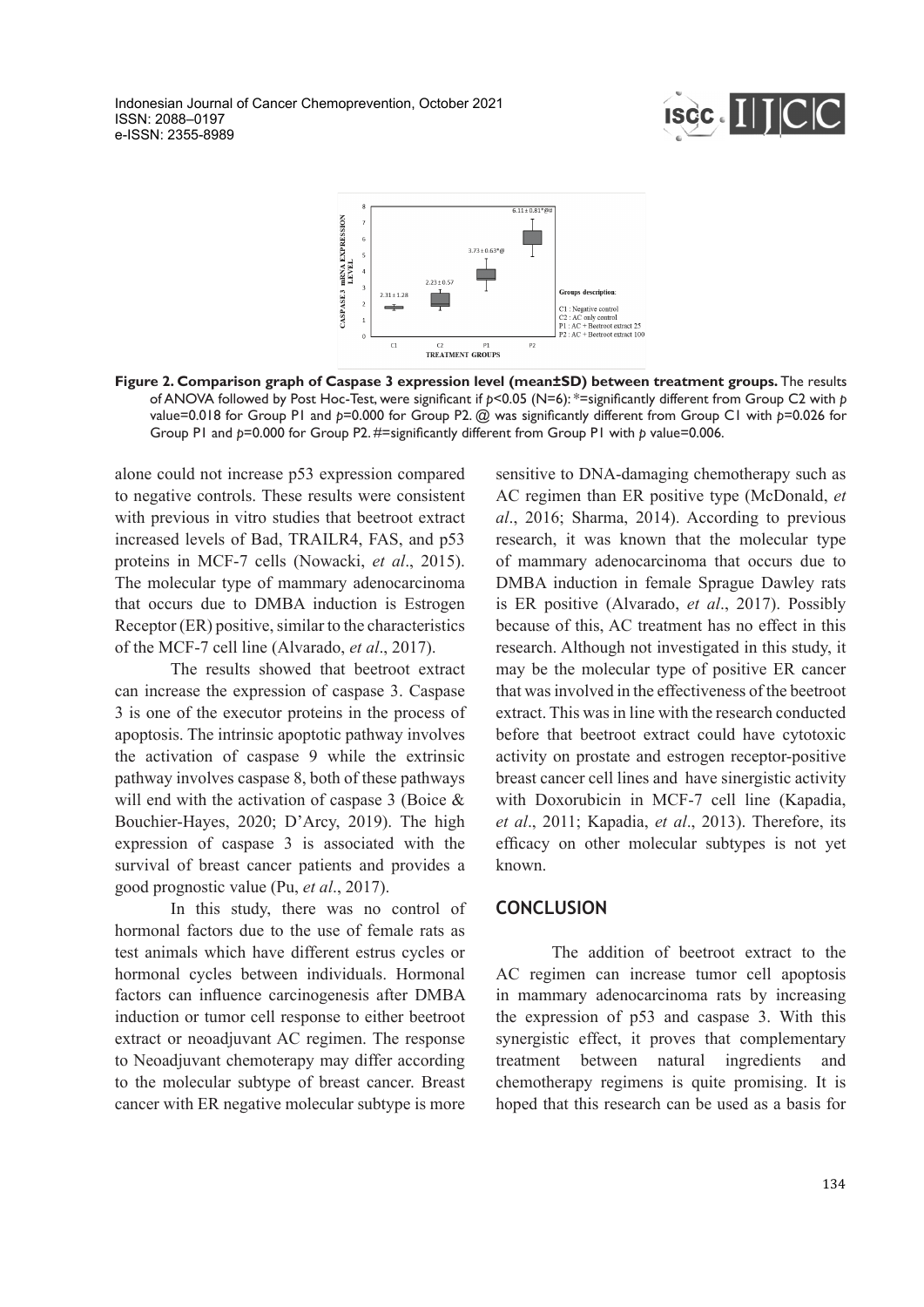Indonesian Journal of Cancer Chemoprevention, October 2021 ISSN: 2088–0197 e-ISSN: 2355-8989





**Figure 2. Comparison graph of Caspase 3 expression level (mean±SD) between treatment groups.** The results of ANOVA followed by Post Hoc-Test, were significant if *p*<0.05 (N=6): \*=significantly different from Group C2 with *p*  value=0.018 for Group P1 and *p*=0.000 for Group P2. @ was significantly different from Group C1 with *p*=0.026 for Group P1 and *p*=0.000 for Group P2. #=significantly different from Group P1 with *p* value=0.006.

alone could not increase p53 expression compared to negative controls. These results were consistent with previous in vitro studies that beetroot extract increased levels of Bad, TRAILR4, FAS, and p53 proteins in MCF-7 cells (Nowacki, *et al*., 2015). The molecular type of mammary adenocarcinoma that occurs due to DMBA induction is Estrogen Receptor (ER) positive, similar to the characteristics of the MCF-7 cell line (Alvarado, *et al*., 2017).

The results showed that beetroot extract can increase the expression of caspase 3. Caspase 3 is one of the executor proteins in the process of apoptosis. The intrinsic apoptotic pathway involves the activation of caspase 9 while the extrinsic pathway involves caspase 8, both of these pathways will end with the activation of caspase 3 (Boice & Bouchier-Hayes, 2020; D'Arcy, 2019). The high expression of caspase 3 is associated with the survival of breast cancer patients and provides a good prognostic value (Pu, *et al*., 2017).

In this study, there was no control of hormonal factors due to the use of female rats as test animals which have different estrus cycles or hormonal cycles between individuals. Hormonal factors can influence carcinogenesis after DMBA induction or tumor cell response to either beetroot extract or neoadjuvant AC regimen. The response to Neoadjuvant chemoterapy may differ according to the molecular subtype of breast cancer. Breast cancer with ER negative molecular subtype is more sensitive to DNA-damaging chemotherapy such as AC regimen than ER positive type (McDonald, *et al*., 2016; Sharma, 2014). According to previous research, it was known that the molecular type of mammary adenocarcinoma that occurs due to DMBA induction in female Sprague Dawley rats is ER positive (Alvarado, *et al*., 2017). Possibly because of this, AC treatment has no effect in this research. Although not investigated in this study, it may be the molecular type of positive ER cancer that was involved in the effectiveness of the beetroot extract. This was in line with the research conducted before that beetroot extract could have cytotoxic activity on prostate and estrogen receptor-positive breast cancer cell lines and have sinergistic activity with Doxorubicin in MCF-7 cell line (Kapadia, *et al*., 2011; Kapadia, *et al*., 2013). Therefore, its efficacy on other molecular subtypes is not yet known.

# **CONCLUSION**

The addition of beetroot extract to the AC regimen can increase tumor cell apoptosis in mammary adenocarcinoma rats by increasing the expression of p53 and caspase 3. With this synergistic effect, it proves that complementary treatment between natural ingredients and chemotherapy regimens is quite promising. It is hoped that this research can be used as a basis for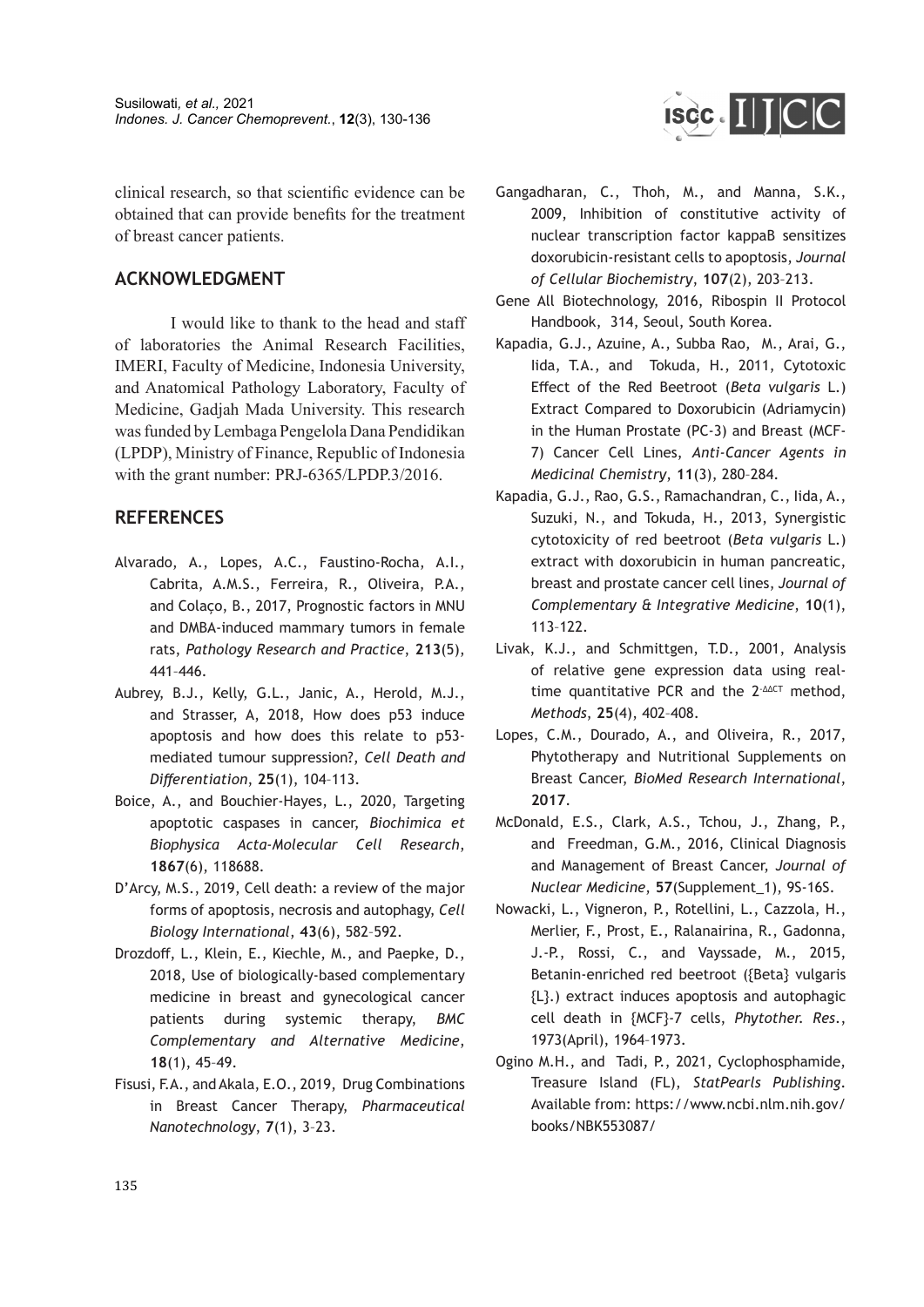clinical research, so that scientific evidence can be obtained that can provide benefits for the treatment of breast cancer patients.

#### **ACKNOWLEDGMENT**

I would like to thank to the head and staff of laboratories the Animal Research Facilities, IMERI, Faculty of Medicine, Indonesia University, and Anatomical Pathology Laboratory, Faculty of Medicine, Gadjah Mada University. This research was funded by Lembaga Pengelola Dana Pendidikan (LPDP), Ministry of Finance, Republic of Indonesia with the grant number: PRJ-6365/LPDP.3/2016.

# **REFERENCES**

- Alvarado, A., Lopes, A.C., Faustino-Rocha, A.I., Cabrita, A.M.S., Ferreira, R., Oliveira, P.A., and Colaço, B., 2017, Prognostic factors in MNU and DMBA-induced mammary tumors in female rats, *Pathology Research and Practice*, **213**(5), 441–446.
- Aubrey, B.J., Kelly, G.L., Janic, A., Herold, M.J., and Strasser, A, 2018, How does p53 induce apoptosis and how does this relate to p53 mediated tumour suppression?, *Cell Death and Differentiation*, **25**(1), 104–113.
- Boice, A., and Bouchier-Hayes, L., 2020, Targeting apoptotic caspases in cancer, *Biochimica et Biophysica Acta-Molecular Cell Research*, **1867**(6), 118688.
- D'Arcy, M.S., 2019, Cell death: a review of the major forms of apoptosis, necrosis and autophagy, *Cell Biology International*, **43**(6), 582–592.
- Drozdoff, L., Klein, E., Kiechle, M., and Paepke, D., 2018, Use of biologically-based complementary medicine in breast and gynecological cancer patients during systemic therapy, *BMC Complementary and Alternative Medicine*, **18**(1), 45–49.
- Fisusi, F.A., and Akala, E.O., 2019, Drug Combinations in Breast Cancer Therapy, *Pharmaceutical Nanotechnology*, **7**(1), 3–23.

Gangadharan, C., Thoh, M., and Manna, S.K., 2009, Inhibition of constitutive activity of nuclear transcription factor kappaB sensitizes

ISCC. IIJCC

doxorubicin-resistant cells to apoptosis, *Journal* 

*of Cellular Biochemistry*, **107**(2), 203–213. Gene All Biotechnology, 2016, Ribospin II Protocol Handbook, 314, Seoul, South Korea.

- Kapadia, G.J., Azuine, A., Subba Rao, M., Arai, G., Iida, T.A., and Tokuda, H., 2011, Cytotoxic Effect of the Red Beetroot (*Beta vulgaris* L.) Extract Compared to Doxorubicin (Adriamycin) in the Human Prostate (PC-3) and Breast (MCF-7) Cancer Cell Lines, *Anti-Cancer Agents in Medicinal Chemistry*, **11**(3), 280–284.
- Kapadia, G.J., Rao, G.S., Ramachandran, C., Iida, A., Suzuki, N., and Tokuda, H., 2013, Synergistic cytotoxicity of red beetroot (*Beta vulgaris* L.) extract with doxorubicin in human pancreatic, breast and prostate cancer cell lines, *Journal of Complementary & Integrative Medicine*, **10**(1), 113–122.
- Livak, K.J., and Schmittgen, T.D., 2001, Analysis of relative gene expression data using realtime quantitative PCR and the  $2^{\Delta\Delta\text{CT}}$  method, *Methods*, **25**(4), 402–408.
- Lopes, C.M., Dourado, A., and Oliveira, R., 2017, Phytotherapy and Nutritional Supplements on Breast Cancer, *BioMed Research International*, **2017**.
- McDonald, E.S., Clark, A.S., Tchou, J., Zhang, P., and Freedman, G.M., 2016, Clinical Diagnosis and Management of Breast Cancer, *Journal of Nuclear Medicine*, **57**(Supplement\_1), 9S-16S.
- Nowacki, L., Vigneron, P., Rotellini, L., Cazzola, H., Merlier, F., Prost, E., Ralanairina, R., Gadonna, J.-P., Rossi, C., and Vayssade, M., 2015, Betanin-enriched red beetroot ({Beta} vulgaris {L}.) extract induces apoptosis and autophagic cell death in {MCF}-7 cells, *Phytother. Res*., 1973(April), 1964–1973.
- Ogino M.H., and Tadi, P., 2021, Cyclophosphamide, Treasure Island (FL), *StatPearls Publishing*. Available from: https://www.ncbi.nlm.nih.gov/ books/NBK553087/